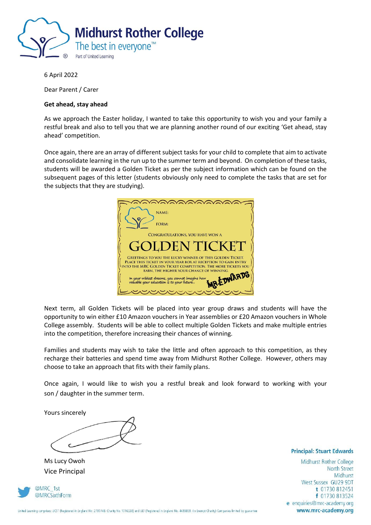

6 April 2022

Dear Parent / Carer

#### **Get ahead, stay ahead**

As we approach the Easter holiday, I wanted to take this opportunity to wish you and your family a restful break and also to tell you that we are planning another round of our exciting 'Get ahead, stay ahead' competition.

Once again, there are an array of different subject tasks for your child to complete that aim to activate and consolidate learning in the run up to the summer term and beyond. On completion of these tasks, students will be awarded a Golden Ticket as per the subject information which can be found on the subsequent pages of this letter (students obviously only need to complete the tasks that are set for the subjects that they are studying).



Next term, all Golden Tickets will be placed into year group draws and students will have the opportunity to win either £10 Amazon vouchers in Year assemblies or £20 Amazon vouchers in Whole College assembly. Students will be able to collect multiple Golden Tickets and make multiple entries into the competition, therefore increasing their chances of winning.

Families and students may wish to take the little and often approach to this competition, as they recharge their batteries and spend time away from Midhurst Rother College. However, others may choose to take an approach that fits with their family plans.

Once again, I would like to wish you a restful break and look forward to working with your son / daughter in the summer term.

Yours sincerely

Ms Lucy Owoh Vice Principal



**Principal: Stuart Edwards** 

Midhurst Rother College North Street Midhurst West Sussex GU29 9DT t 01730 812451 f 01730 813524 e enquiries@mrc-academy.org www.mrc-academy.org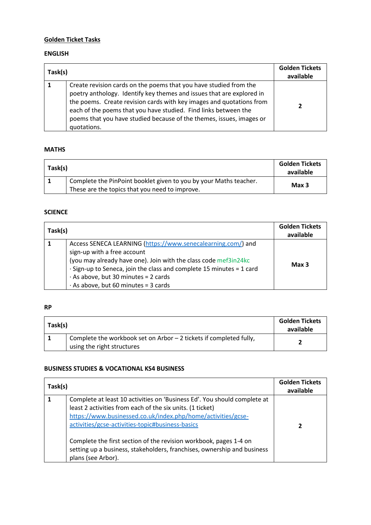# **Golden Ticket Tasks**

### **ENGLISH**

| Task(s) |                                                                                                                                                                                                                                                                                                                                                                              | <b>Golden Tickets</b><br>available |
|---------|------------------------------------------------------------------------------------------------------------------------------------------------------------------------------------------------------------------------------------------------------------------------------------------------------------------------------------------------------------------------------|------------------------------------|
|         | Create revision cards on the poems that you have studied from the<br>poetry anthology. Identify key themes and issues that are explored in<br>the poems. Create revision cards with key images and quotations from<br>each of the poems that you have studied. Find links between the<br>poems that you have studied because of the themes, issues, images or<br>quotations. | 7                                  |

### **MATHS**

| Task(s) |                                                                   | <b>Golden Tickets</b><br>available |
|---------|-------------------------------------------------------------------|------------------------------------|
|         | Complete the PinPoint booklet given to you by your Maths teacher. | Max <sub>3</sub>                   |
|         | These are the topics that you need to improve.                    |                                    |

# **SCIENCE**

| Task(s) |                                                                                                                                                                                                                                                                                                                                    | <b>Golden Tickets</b><br>available |
|---------|------------------------------------------------------------------------------------------------------------------------------------------------------------------------------------------------------------------------------------------------------------------------------------------------------------------------------------|------------------------------------|
|         | Access SENECA LEARNING (https://www.senecalearning.com/) and<br>sign-up with a free account<br>(you may already have one). Join with the class code mef3in24kc<br>· Sign-up to Seneca, join the class and complete 15 minutes = 1 card<br>$\cdot$ As above, but 30 minutes = 2 cards<br>$\cdot$ As above, but 60 minutes = 3 cards | Max <sub>3</sub>                   |

## **RP**

| Task(s) |                                                                                                  | <b>Golden Tickets</b><br>available |
|---------|--------------------------------------------------------------------------------------------------|------------------------------------|
|         | Complete the workbook set on Arbor - 2 tickets if completed fully,<br>using the right structures |                                    |

#### **BUSINESS STUDIES & VOCATIONAL KS4 BUSINESS**

| Task(s) |                                                                                                                                                                                                                                                                                                                                                                                                                                 | <b>Golden Tickets</b><br>available |
|---------|---------------------------------------------------------------------------------------------------------------------------------------------------------------------------------------------------------------------------------------------------------------------------------------------------------------------------------------------------------------------------------------------------------------------------------|------------------------------------|
|         | Complete at least 10 activities on 'Business Ed'. You should complete at<br>least 2 activities from each of the six units. (1 ticket)<br>https://www.businessed.co.uk/index.php/home/activities/gcse-<br>activities/gcse-activities-topic#business-basics<br>Complete the first section of the revision workbook, pages 1-4 on<br>setting up a business, stakeholders, franchises, ownership and business<br>plans (see Arbor). | 2                                  |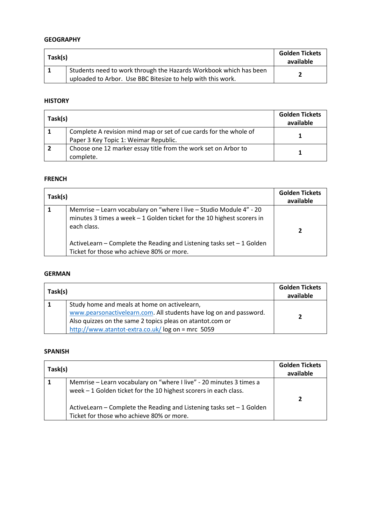### **GEOGRAPHY**

| Task(s) |                                                                                                                                  | <b>Golden Tickets</b><br>available |
|---------|----------------------------------------------------------------------------------------------------------------------------------|------------------------------------|
|         | Students need to work through the Hazards Workbook which has been<br>uploaded to Arbor. Use BBC Bitesize to help with this work. |                                    |

# **HISTORY**

| Task(s) |                                                                                                            | <b>Golden Tickets</b><br>available |
|---------|------------------------------------------------------------------------------------------------------------|------------------------------------|
|         | Complete A revision mind map or set of cue cards for the whole of<br>Paper 3 Key Topic 1: Weimar Republic. |                                    |
|         | Choose one 12 marker essay title from the work set on Arbor to<br>complete.                                |                                    |

### **FRENCH**

| Task(s) |                                                                                                                                                               | <b>Golden Tickets</b><br>available |
|---------|---------------------------------------------------------------------------------------------------------------------------------------------------------------|------------------------------------|
|         | Memrise - Learn vocabulary on "where I live - Studio Module 4" - 20<br>minutes 3 times a week $-1$ Golden ticket for the 10 highest scorers in<br>each class. |                                    |
|         | ActiveLearn – Complete the Reading and Listening tasks set $-1$ Golden<br>Ticket for those who achieve 80% or more.                                           |                                    |

#### **GERMAN**

| Task(s) |                                                                                                                                                                                                                                     | <b>Golden Tickets</b><br>available |
|---------|-------------------------------------------------------------------------------------------------------------------------------------------------------------------------------------------------------------------------------------|------------------------------------|
|         | Study home and meals at home on activelearn,<br>www.pearsonactivelearn.com. All students have log on and password.<br>Also quizzes on the same 2 topics pleas on atantot.com or<br>http://www.atantot-extra.co.uk/log on = mrc 5059 | э                                  |

# **SPANISH**

| Task(s) |                                                                                                                                          | <b>Golden Tickets</b><br>available |
|---------|------------------------------------------------------------------------------------------------------------------------------------------|------------------------------------|
|         | Memrise - Learn vocabulary on "where I live" - 20 minutes 3 times a<br>week $-1$ Golden ticket for the 10 highest scorers in each class. | 7                                  |
|         | ActiveLearn - Complete the Reading and Listening tasks set - 1 Golden<br>Ticket for those who achieve 80% or more.                       |                                    |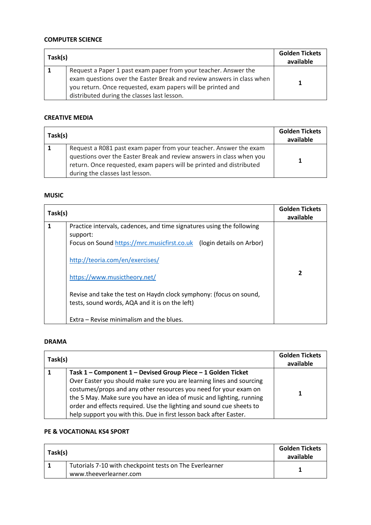### **COMPUTER SCIENCE**

| Task(s) |                                                                                                                                                                                                                                                        | <b>Golden Tickets</b><br>available |
|---------|--------------------------------------------------------------------------------------------------------------------------------------------------------------------------------------------------------------------------------------------------------|------------------------------------|
|         | Request a Paper 1 past exam paper from your teacher. Answer the<br>exam questions over the Easter Break and review answers in class when<br>you return. Once requested, exam papers will be printed and<br>distributed during the classes last lesson. |                                    |

#### **CREATIVE MEDIA**

| Task(s) |                                                                                                                                                                                                                                                     | <b>Golden Tickets</b><br>available |
|---------|-----------------------------------------------------------------------------------------------------------------------------------------------------------------------------------------------------------------------------------------------------|------------------------------------|
|         | Request a R081 past exam paper from your teacher. Answer the exam<br>questions over the Easter Break and review answers in class when you<br>return. Once requested, exam papers will be printed and distributed<br>during the classes last lesson. |                                    |

# **MUSIC**

| Task(s) |                                                                                                                                                           | <b>Golden Tickets</b><br>available |
|---------|-----------------------------------------------------------------------------------------------------------------------------------------------------------|------------------------------------|
| 1       | Practice intervals, cadences, and time signatures using the following<br>support:<br>Focus on Sound https://mrc.musicfirst.co.uk (login details on Arbor) |                                    |
|         | http://teoria.com/en/exercises/<br>https://www.musictheory.net/                                                                                           | 2                                  |
|         | Revise and take the test on Haydn clock symphony: (focus on sound,<br>tests, sound words, AQA and it is on the left)                                      |                                    |
|         | Extra – Revise minimalism and the blues.                                                                                                                  |                                    |

### **DRAMA**

| Task(s) |                                                                                                                                                                                                                                                                                                                                                                                                                                | <b>Golden Tickets</b><br>available |
|---------|--------------------------------------------------------------------------------------------------------------------------------------------------------------------------------------------------------------------------------------------------------------------------------------------------------------------------------------------------------------------------------------------------------------------------------|------------------------------------|
|         | Task 1 - Component 1 - Devised Group Piece - 1 Golden Ticket<br>Over Easter you should make sure you are learning lines and sourcing<br>costumes/props and any other resources you need for your exam on<br>the 5 May. Make sure you have an idea of music and lighting, running<br>order and effects required. Use the lighting and sound cue sheets to<br>help support you with this. Due in first lesson back after Easter. | 1.                                 |

## **PE & VOCATIONAL KS4 SPORT**

| Task(s) |                                                                                   | <b>Golden Tickets</b><br>available |
|---------|-----------------------------------------------------------------------------------|------------------------------------|
|         | Tutorials 7-10 with checkpoint tests on The Everlearner<br>www.theeverlearner.com |                                    |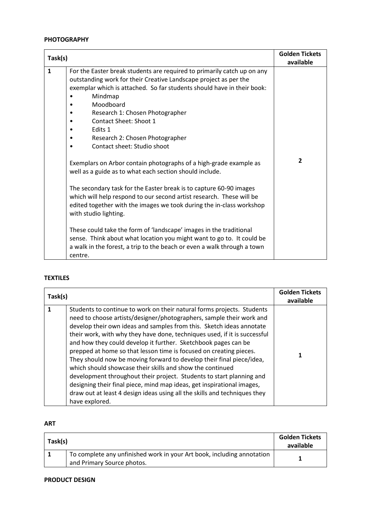#### **PHOTOGRAPHY**

| Task(s)      |                                                                                                                                                                                                                                                                                                                                                                                                                                                                     | <b>Golden Tickets</b><br>available |
|--------------|---------------------------------------------------------------------------------------------------------------------------------------------------------------------------------------------------------------------------------------------------------------------------------------------------------------------------------------------------------------------------------------------------------------------------------------------------------------------|------------------------------------|
| $\mathbf{1}$ | For the Easter break students are required to primarily catch up on any<br>outstanding work for their Creative Landscape project as per the<br>exemplar which is attached. So far students should have in their book:<br>Mindmap<br>Moodboard<br>Research 1: Chosen Photographer<br><b>Contact Sheet: Shoot 1</b><br>Edits 1<br>Research 2: Chosen Photographer<br>Contact sheet: Studio shoot<br>Exemplars on Arbor contain photographs of a high-grade example as | $\overline{2}$                     |
|              | well as a guide as to what each section should include.<br>The secondary task for the Easter break is to capture 60-90 images<br>which will help respond to our second artist research. These will be<br>edited together with the images we took during the in-class workshop<br>with studio lighting.<br>These could take the form of 'landscape' images in the traditional<br>sense. Think about what location you might want to go to. It could be               |                                    |
|              | a walk in the forest, a trip to the beach or even a walk through a town<br>centre.                                                                                                                                                                                                                                                                                                                                                                                  |                                    |

# **TEXTILES**

| Task(s) |                                                                                                                                                                                                                                                                                                                                                                                                                                                                                                                                                                                                                                                                                                                                                                                                                                   | <b>Golden Tickets</b><br>available |
|---------|-----------------------------------------------------------------------------------------------------------------------------------------------------------------------------------------------------------------------------------------------------------------------------------------------------------------------------------------------------------------------------------------------------------------------------------------------------------------------------------------------------------------------------------------------------------------------------------------------------------------------------------------------------------------------------------------------------------------------------------------------------------------------------------------------------------------------------------|------------------------------------|
|         | Students to continue to work on their natural forms projects. Students<br>need to choose artists/designer/photographers, sample their work and<br>develop their own ideas and samples from this. Sketch ideas annotate<br>their work, with why they have done, techniques used, if it is successful<br>and how they could develop it further. Sketchbook pages can be<br>prepped at home so that lesson time is focused on creating pieces.<br>They should now be moving forward to develop their final piece/idea,<br>which should showcase their skills and show the continued<br>development throughout their project. Students to start planning and<br>designing their final piece, mind map ideas, get inspirational images,<br>draw out at least 4 design ideas using all the skills and techniques they<br>have explored. |                                    |

# **ART**

| Task(s) |                                                                                                      | <b>Golden Tickets</b><br>available |
|---------|------------------------------------------------------------------------------------------------------|------------------------------------|
|         | To complete any unfinished work in your Art book, including annotation<br>and Primary Source photos. |                                    |

#### **PRODUCT DESIGN**